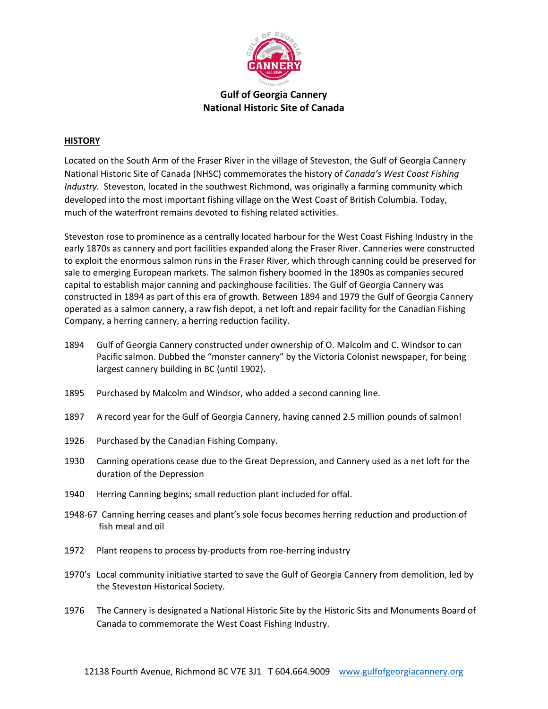

## **Gulf of Georgia Cannery National Historic Site of Canada**

## **HISTORY**

Located on the South Arm of the Fraser River in the village of Steveston, the Gulf of Georgia Cannery National Historic Site of Canada (NHSC) commemorates the history of *Canada's West Coast Fishing Industry.*  Steveston, located in the southwest Richmond, was originally a farming community which developed into the most important fishing village on the West Coast of British Columbia. Today, much of the waterfront remains devoted to fishing related activities.

Steveston rose to prominence as a centrally located harbour for the West Coast Fishing Industry in the early 1870s as cannery and port facilities expanded along the Fraser River. Canneries were constructed to exploit the enormous salmon runs in the Fraser River, which through canning could be preserved for sale to emerging European markets. The salmon fishery boomed in the 1890s as companies secured capital to establish major canning and packinghouse facilities. The Gulf of Georgia Cannery was constructed in 1894 as part of this era of growth. Between 1894 and 1979 the Gulf of Georgia Cannery operated as a salmon cannery, a raw fish depot, a net loft and repair facility for the Canadian Fishing Company, a herring cannery, a herring reduction facility.

- 1894 Gulf of Georgia Cannery constructed under ownership of O. Malcolm and C. Windsor to can Pacific salmon. Dubbed the "monster cannery" by the Victoria Colonist newspaper, for being largest cannery building in BC (until 1902).
- 1895 Purchased by Malcolm and Windsor, who added a second canning line.
- 1897 A record year for the Gulf of Georgia Cannery, having canned 2.5 million pounds of salmon!
- 1926 Purchased by the Canadian Fishing Company.
- 1930 Canning operations cease due to the Great Depression, and Cannery used as a net loft for the duration of the Depression
- 1940 Herring Canning begins; small reduction plant included for offal.
- 1948‐67 Canning herring ceases and plant's sole focus becomes herring reduction and production of fish meal and oil
- 1972 Plant reopens to process by-products from roe-herring industry
- 1970's Local community initiative started to save the Gulf of Georgia Cannery from demolition, led by the Steveston Historical Society.
- 1976 The Cannery is designated a National Historic Site by the Historic Sits and Monuments Board of Canada to commemorate the West Coast Fishing Industry.